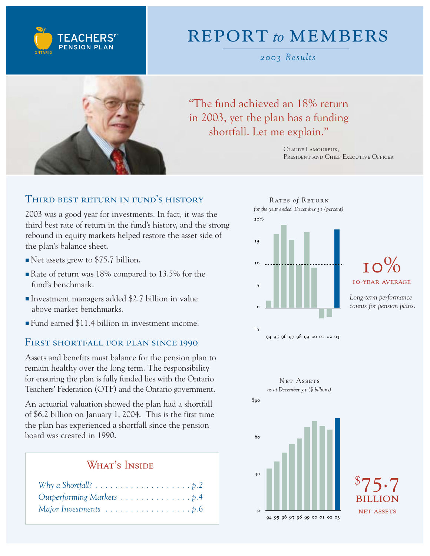

# report *to* members

*2003 Results*



"The fund achieved an 18% return in 2003, yet the plan has a funding shortfall. Let me explain."

> Claude Lamoureux, PRESIDENT AND CHIEF EXECUTIVE OFFICER

### Third best return in fund's history

2003 was a good year for investments. In fact, it was the third best rate of return in the fund's history, and the strong rebound in equity markets helped restore the asset side of the plan's balance sheet.

- Net assets grew to \$75.7 billion.
- Rate of return was 18% compared to 13.5% for the fund's benchmark.
- Investment managers added \$2.7 billion in value above market benchmarks.
- Fund earned \$11.4 billion in investment income.

#### First shortfall for plan since 1990

Assets and benefits must balance for the pension plan to remain healthy over the long term. The responsibility for ensuring the plan is fully funded lies with the Ontario Teachers' Federation (OTF) and the Ontario government.

An actuarial valuation showed the plan had a shortfall of \$6.2 billion on January 1, 2004. This is the first time the plan has experienced a shortfall since the pension board was created in 1990.

## WHAT'S INSIDE

| Why a Shortfall? $\dots \dots \dots \dots \dots \dots \dots p.2$  |  |  |  |  |  |  |  |
|-------------------------------------------------------------------|--|--|--|--|--|--|--|
|                                                                   |  |  |  |  |  |  |  |
| Major Investments $\dots \dots \dots \dots \dots \dots \dots p.6$ |  |  |  |  |  |  |  |



10-year average

*Long-term performance counts for pension plans.* 



*\$*75.7 **BILLION** net assets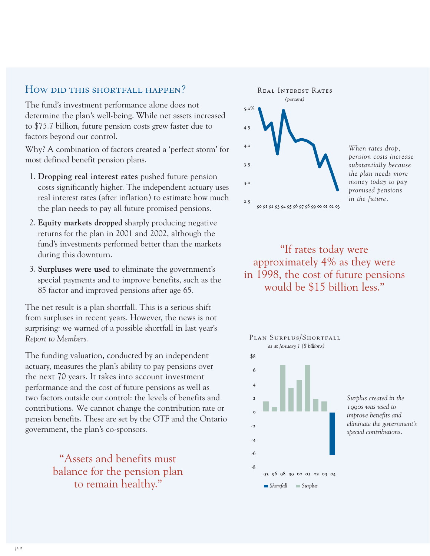## How did this shortfall happen?

The fund's investment performance alone does not determine the plan's well-being. While net assets increased to \$75.7 billion, future pension costs grew faster due to factors beyond our control.

Why? A combination of factors created a 'perfect storm' for most defined benefit pension plans.

- 1. **Dropping real interest rates** pushed future pension costs significantly higher. The independent actuary uses real interest rates (after inflation) to estimate how much the plan needs to pay all future promised pensions.
- 2. **Equity markets dropped** sharply producing negative returns for the plan in 2001 and 2002, although the fund's investments performed better than the markets during this downturn.
- 3. **Surpluses were used** to eliminate the government's special payments and to improve benefits, such as the 85 factor and improved pensions after age 65.

The net result is a plan shortfall. This is a serious shift from surpluses in recent years. However, the news is not surprising: we warned of a possible shortfall in last year's *Report to Members.*

The funding valuation, conducted by an independent actuary, measures the plan's ability to pay pensions over the next 70 years. It takes into account investment performance and the cost of future pensions as well as two factors outside our control: the levels of benefits and contributions. We cannot change the contribution rate or pension benefits. These are set by the OTF and the Ontario government, the plan's co-sponsors.

> "Assets and benefits must balance for the pension plan to remain healthy."



*When rates drop, pension costs increase substantially because the plan needs more money today to pay promised pensions in the future.*

"If rates today were approximately 4% as they were in 1998, the cost of future pensions would be \$15 billion less."



*Surplus created in the 1990s was used to improve benefits and eliminate the government's special contributions.*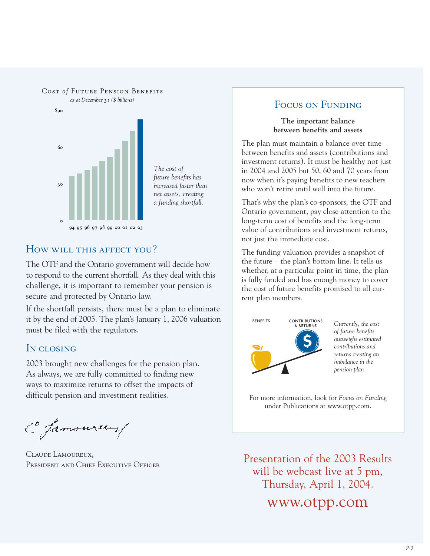

### How will this affect you?

The OTF and the Ontario government will decide how to respond to the current shortfall. As they deal with this challenge, it is important to remember your pension is secure and protected by Ontario law.

If the shortfall persists, there must be a plan to eliminate it by the end of 2005. The plan's January 1, 2006 valuation must be filed with the regulators.

### In closing

2003 brought new challenges for the pension plan. As always, we are fully committed to finding new ways to maximize returns to offset the impacts of difficult pension and investment realities.

C Jamoureus/

Claude Lamoureux, PRESIDENT AND CHIEF EXECUTIVE OFFICER

## Focus on Funding

**The important balance between benefits and assets**

The plan must maintain a balance over time between benefits and assets (contributions and investment returns). It must be healthy not just in 2004 and 2005 but 50, 60 and 70 years from now when it's paying benefits to new teachers who won't retire until well into the future.

That's why the plan's co-sponsors, the OTF and Ontario government, pay close attention to the long-term cost of benefits and the long-term value of contributions and investment returns, not just the immediate cost.

The funding valuation provides a snapshot of the future – the plan's bottom line. It tells us whether, at a particular point in time, the plan is fully funded and has enough money to cover the cost of future benefits promised to all current plan members.



*Currently, the cost of future benefits outweighs estimated contributions and returns creating an imbalance in the pension plan.* 

For more information, look for *Focus on Funding* under Publications at www.otpp.com.

Presentation of the 2003 Results will be webcast live at 5 pm, Thursday, April 1, 2004. www.otpp.com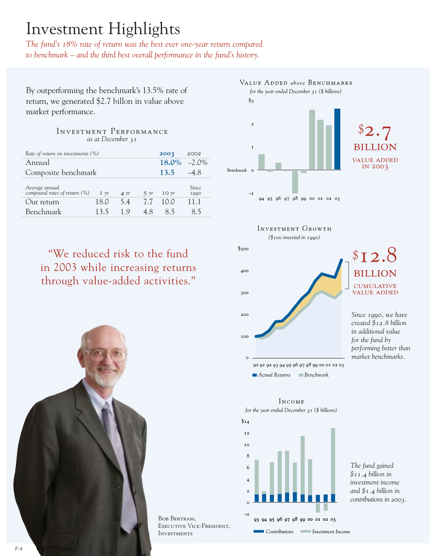# Investment Highlights

*The fund's 18% rate of return was the best ever one-year return compared to benchmark – and the third best overall performance in the fund's history.* 

By outperforming the benchmark's 13.5% rate of return, we generated \$2.7 billon in value above market performance.

#### Investment Performance *as at December 31*

| Rate of return on investments (%)              |              |              |                | 2003            | 2002                 |
|------------------------------------------------|--------------|--------------|----------------|-----------------|----------------------|
| Annual                                         |              |              |                | $18.0\% -2.0\%$ |                      |
| Composite benchmark                            |              |              |                | 13.5            | $-4.8$               |
| Average annual<br>compound rates of return (%) | $I \gamma r$ | $4 \gamma r$ | $5 \text{ yr}$ | IO yr           | <i>Since</i><br>1990 |
| Our return                                     | 18.0         | 5.4          | 7.7            | 10.0            | 11                   |
| Benchmark                                      | 135          | 19           | 4.8            | 8.5             | 85                   |

# "We reduced risk to the fund in 2003 while increasing returns through value-added activities."



Bob Bertram, Executive Vice-President, **INVESTMENTS** 



INCOME for the year ended December  $31$  (\$ billions)



*The fund gained \$11.4 billion in investment income and \$1.4 billion in contributions in 2003.*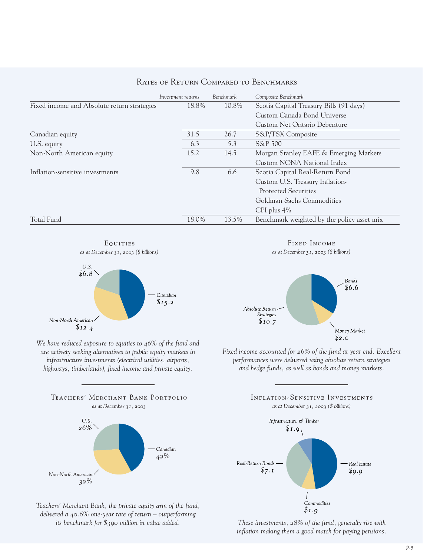#### RATES OF RETURN COMPARED TO BENCHMARKS

|                                             | Investment returns | Benchmark | Composite Benchmark                        |
|---------------------------------------------|--------------------|-----------|--------------------------------------------|
| Fixed income and Absolute return strategies | 18.8%              | 10.8%     | Scotia Capital Treasury Bills (91 days)    |
|                                             |                    |           | Custom Canada Bond Universe                |
|                                             |                    |           | Custom Net Ontario Debenture               |
| Canadian equity                             | 31.5               | 26.7      | S&P/TSX Composite                          |
| U.S. equity                                 | 6.3                | 5.3       | <b>S&amp;P 500</b>                         |
| Non-North American equity                   | 15.2               | 14.5      | Morgan Stanley EAFE & Emerging Markets     |
|                                             |                    |           | Custom NONA National Index                 |
| Inflation-sensitive investments             | 9.8                | 6.6       | Scotia Capital Real-Return Bond            |
|                                             |                    |           | Custom U.S. Treasury Inflation-            |
|                                             |                    |           | <b>Protected Securities</b>                |
|                                             |                    |           | Goldman Sachs Commodities                  |
|                                             |                    |           | $CPI$ plus $4\%$                           |
| Total Fund                                  | 18.0%              | 13.5%     | Benchmark weighted by the policy asset mix |





*We have reduced exposure to equities to 46% of the fund and are actively seeking alternatives to public equity markets in infrastructure investments (electrical utilities, airports, highways, timberlands), fixed income and private equity.*



*Teachers' Merchant Bank, the private equity arm of the fund, delivered a 40.6% one-year rate of return – outperforming its benchmark for \$390 million in value added.*

FIXED INCOME

as at December 31, 2003 (\$ billions)



*Fixed income accounted for 26% of the fund at year end. Excellent performances were delivered using absolute return strategies and hedge funds, as well as bonds and money markets.*



*These investments, 28% of the fund, generally rise with inflation making them a good match for paying pensions.*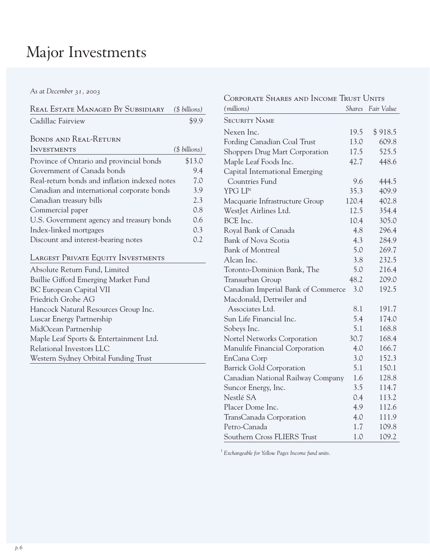# Major Investments

*As at December 31, 2003*

| REAL ESTATE MANAGED BY SUBSIDIARY             | $($$ billions) |
|-----------------------------------------------|----------------|
| Cadillac Fairview                             | \$9.9          |
| BONDS AND REAL-RETURN                         |                |
| <b>INVESTMENTS</b>                            | (\$ billions)  |
| Province of Ontario and provincial bonds      | \$13.0         |
| Government of Canada bonds                    | 9.4            |
| Real-return bonds and inflation indexed notes | 7.0            |
| Canadian and international corporate bonds    | 3.9            |
| Canadian treasury bills                       | 2.3            |
| Commercial paper                              | 0.8            |
| U.S. Government agency and treasury bonds     | 0.6            |
| Index-linked mortgages                        | 0.3            |
| Discount and interest-bearing notes           | 0.2            |
| LARGEST PRIVATE EQUITY INVESTMENTS            |                |

| Absolute Return Fund, Limited          |
|----------------------------------------|
| Baillie Gifford Emerging Market Fund   |
| BC European Capital VII                |
| Friedrich Grohe AG                     |
| Hancock Natural Resources Group Inc.   |
| Luscar Energy Partnership              |
| MidOcean Partnership                   |
| Maple Leaf Sports & Entertainment Ltd. |
| Relational Investors LLC               |
| Western Sydney Orbital Funding Trust   |

#### CORPORATE SHARES AND INCOME TRUST UNITS *(millions) Shares Fair Value* SECURITY NAME Nexen Inc. 19.5 \$ 918.5 Fording Canadian Coal Trust 13.0 609.8 Shoppers Drug Mart Corporation 17.5 525.5 Maple Leaf Foods Inc. 42.7 448.6 Capital International Emerging Countries Fund 9.6 444.5  $YPG LP<sup>1</sup>$  35.3 409.9 Macquarie Infrastructure Group 120.4 402.8 WestJet Airlines Ltd. 12.5 354.4 BCE Inc. 10.4 305.0 Royal Bank of Canada 4.8 296.4 Bank of Nova Scotia 4.3 284.9 Bank of Montreal 5.0 269.7 Alcan Inc. 3.8 232.5 Toronto-Dominion Bank, The 5.0 216.4 Transurban Group 48.2 209.0 Canadian Imperial Bank of Commerce 3.0 192.5 Macdonald, Dettwiler and Associates Ltd. 8.1 191.7 Sun Life Financial Inc. 5.4 174.0 Sobeys Inc. 5.1 168.8 Nortel Networks Corporation 30.7 168.4 Manulife Financial Corporation 4.0 166.7 EnCana Corp 3.0 152.3 Barrick Gold Corporation 5.1 150.1 Canadian National Railway Company 1.6 128.8 Suncor Energy, Inc. 3.5 114.7 Nestlé SA 0.4 113.2 Placer Dome Inc. 4.9 112.6 TransCanada Corporation 4.0 111.9 Petro-Canada 1.7 109.8

Southern Cross FLIERS Trust 1.0 109.2

<sup>1</sup> *Exchangeable for Yellow Pages Income fund units.*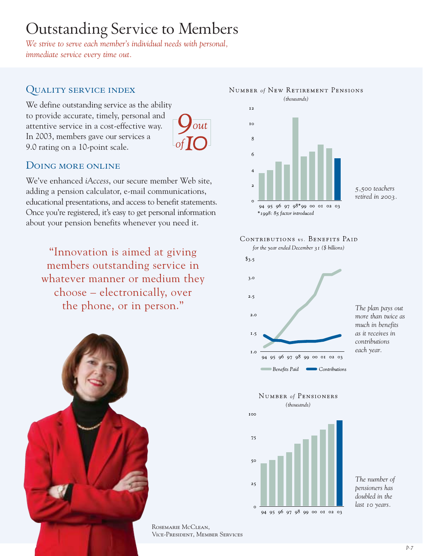# Outstanding Service to Members

*We strive to serve each member's individual needs with personal, immediate service every time out.* 

# Quality service index

We define outstanding service as the ability to provide accurate, timely, personal and attentive service in a cost-effective way. In 2003, members gave our services a 9.0 rating on a 10-point scale.



### DOING MORE ONLINE

We've enhanced *iAccess*, our secure member Web site, adding a pension calculator, e-mail communications, educational presentations, and access to benefit statements. Once you're registered, it's easy to get personal information about your pension benefits whenever you need it.

"Innovation is aimed at giving members outstanding service in whatever manner or medium they choose – electronically, over the phone, or in person."





#### NUMBER of NEW RETIREMENT PENSIONS

*5,500 teachers retired in 2003.* 



94 95 96 97 98\*99 00 01 02 03

\*1998: 85 factor introduced

for the year ended December  $31$  (\$ billions)

 $\Omega$ 



*The plan pays out more than twice as much in benefits as it receives in contributions each year.*





*The number of pensioners has doubled in the last 10 years.*

Rosemarie McClean, Vice-President, Member Services